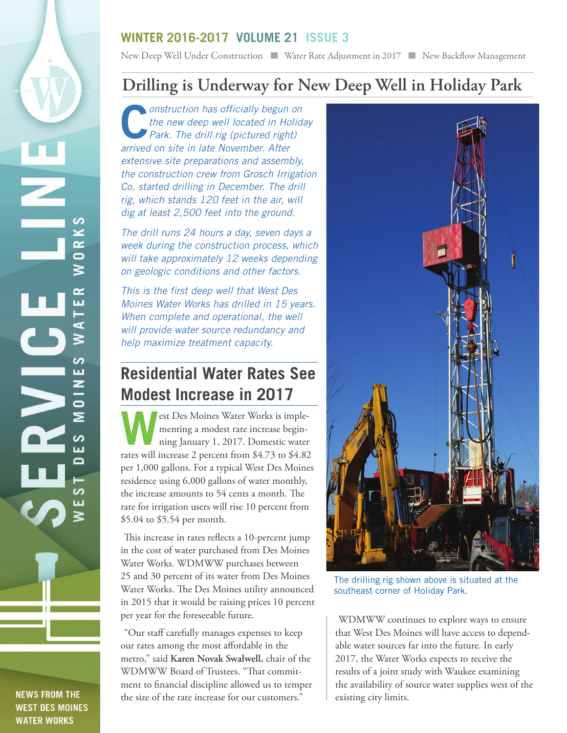## **WINTER 2016-2017 VOLUME 21 ISSUE 3**

New Deep Well Under Construction Number Rate Adjustment in 2017 New Backflow Management

## **Drilling is Underway for New Deep Well in Holiday Park**

**Construction has officially begun on the new deep well located in Holida<br>Park. The drill rig (pictured right)** *the new deep well located in Holiday Park. The drill rig (pictured right) arrived on site in late November. After extensive site preparations and assembly, the construction crew from Grosch Irrigation Co. started drilling in December. The drill rig, which stands 120 feet in the air, will dig at least 2,500 feet into the ground.* 

*The drill runs 24 hours a day, seven days a week during the construction process, which will take approximately 12 weeks depending on geologic conditions and other factors.* 

*This is the first deep well that West Des Moines Water Works has drilled in 15 years. When complete and operational, the well will provide water source redundancy and help maximize treatment capacity.* 

## **Residential Water Rates See Modest Increase in 2017**

est Des Moines Water Works is implementing a modest rate increase beginning January 1, 2017. Domestic water rates will increase 2 percent from \$4.73 to \$4.82 per 1,000 gallons. For a typical West Des Moines residence using 6,000 gallons of water monthly, the increase amounts to 54 cents a month. The rate for irrigation users will rise 10 percent from \$5.04 to \$5.54 per month.

This increase in rates reflects a 10-percent jump in the cost of water purchased from Des Moines Water Works. WDMWW purchases between 25 and 30 percent of its water from Des Moines Water Works. The Des Moines utility announced in 2015 that it would be raising prices 10 percent per year for the foreseeable future.

"Our staff carefully manages expenses to keep our rates among the most affordable in the metro," said **Karen Novak Swalwell,** chair of the WDMWW Board of Trustees. "That commitment to financial discipline allowed us to temper the size of the rate increase for our customers."



The drilling rig shown above is situated at the southeast corner of Holiday Park.

WDMWW continues to explore ways to ensure that West Des Moines will have access to dependable water sources far into the future. In early 2017, the Water Works expects to receive the results of a joint study with Waukee examining the availability of source water supplies west of the existing city limits.

**NEWS FROM THE WEST DES MOINES WATER WORKS** 

 $\overline{\phantom{a}}$ 

 $\mathcal{G}$ Z œ  $\overline{\bullet}$ ≳

ص ш

ď ≳

ပာ

ш Z

 $\bullet$ ⋝

ဖာ ய  $\mathbf{\Omega}$ 

ပာ ш